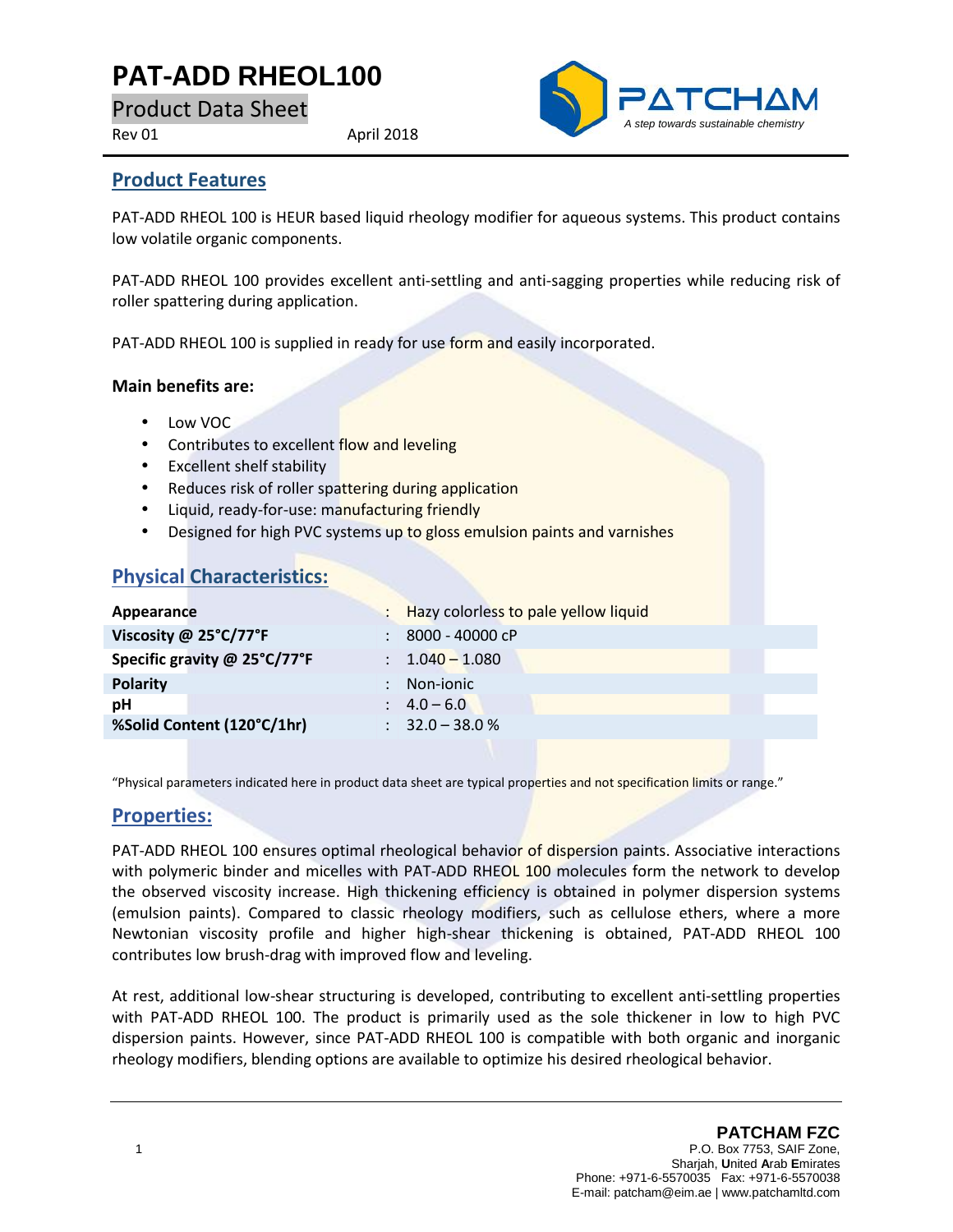# **PAT-ADD RHEOL100**

Product Data Sheet

Rev 01 April 2018



## **Product Features**

PAT-ADD RHEOL 100 is HEUR based liquid rheology modifier for aqueous systems. This product contains low volatile organic components.

PAT-ADD RHEOL 100 provides excellent anti-settling and anti-sagging properties while reducing risk of roller spattering during application.

PAT-ADD RHEOL 100 is supplied in ready for use form and easily incorporated.

#### **Main benefits are:**

- Low VOC
- Contributes to excellent flow and leveling
- Excellent shelf stability
- Reduces risk of roller spattering during application
- Liquid, ready-for-use: manufacturing friendly
- Designed for high PVC systems up to gloss emulsion paints and varnishes

# **Physical Characteristics:**

| Appearance                   | Hazy colorless to pale yellow liquid |
|------------------------------|--------------------------------------|
| Viscosity @ 25°C/77°F        | 8000 - 40000 cP                      |
| Specific gravity @ 25°C/77°F | $: 1.040 - 1.080$                    |
| <b>Polarity</b>              | Non-ionic                            |
| рH                           | $\therefore$ 4.0 – 6.0               |
| %Solid Content (120°C/1hr)   | $\therefore$ 32.0 – 38.0 %           |
|                              |                                      |

"Physical parameters indicated here in product data sheet are typical properties and not specification limits or range."

## **Properties:**

PAT-ADD RHEOL 100 ensures optimal rheological behavior of dispersion paints. Associative interactions with polymeric binder and micelles with PAT-ADD RHEOL 100 molecules form the network to develop the observed viscosity increase. High thickening efficiency is obtained in polymer dispersion systems (emulsion paints). Compared to classic rheology modifiers, such as cellulose ethers, where a more Newtonian viscosity profile and higher high-shear thickening is obtained, PAT-ADD RHEOL 100 contributes low brush-drag with improved flow and leveling.

At rest, additional low-shear structuring is developed, contributing to excellent anti-settling properties with PAT-ADD RHEOL 100. The product is primarily used as the sole thickener in low to high PVC dispersion paints. However, since PAT-ADD RHEOL 100 is compatible with both organic and inorganic rheology modifiers, blending options are available to optimize his desired rheological behavior.